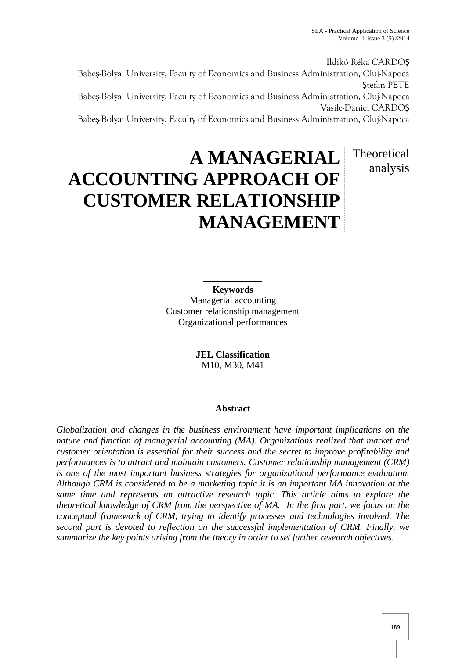analysis

Ildikó Réka CARDOȘ Babe -Bolyai University, Faculty of Economics and Business Administration, Cluj-Napoca Stefan PETE Babe -Bolyai University, Faculty of Economics and Business Administration, Cluj-Napoca Vasile-Daniel CARDOȘ Babe -Bolyai University, Faculty of Economics and Business Administration, Cluj-Napoca

# **A MANAGERIAL ACCOUNTING APPROACH OF CUSTOMER RELATIONSHIP MANAGEMENT** Theoretical

**Keywords** Managerial accounting Customer relationship management Organizational performances

> **JEL Classification** M10, M30, M41

## **Abstract**

*Globalization and changes in the business environment have important implications on the nature and function of managerial accounting (MA). Organizations realized that market and customer orientation is essential for their success and the secret to improve profitability and performances is to attract and maintain customers. Customer relationship management (CRM) is one of the most important business strategies for organizational performance evaluation. Although CRM is considered to be a marketing topic it is an important MA innovation at the same time and represents an attractive research topic. This article aims to explore the theoretical knowledge of CRM from the perspective of MA. In the first part, we focus on the conceptual framework of CRM, trying to identify processes and technologies involved. The second part is devoted to reflection on the successful implementation of CRM. Finally, we summarize the key points arising from the theory in order to set further research objectives.*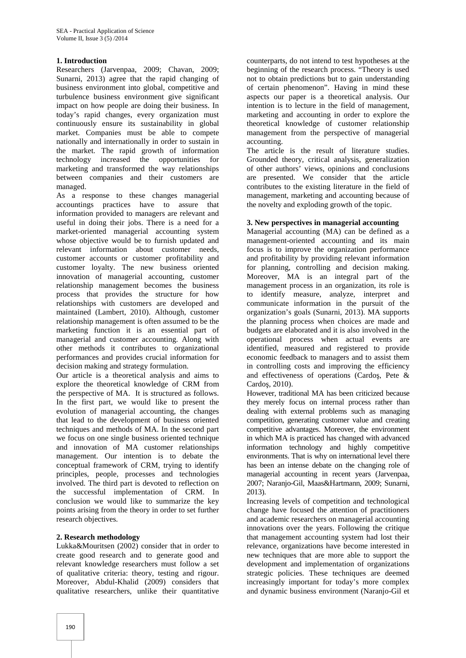## **1. Introduction**

Researchers (Jarvenpaa, 2009; Chavan, 2009; Sunarni, 2013) agree that the rapid changing of business environment into global, competitive and turbulence business environment give significant impact on how people are doing their business. In today's rapid changes, every organization must continuously ensure its sustainability in global market. Companies must be able to compete nationally and internationally in order to sustain in the market. The rapid growth of information technology increased the opportunities for marketing and transformed the way relationships between companies and their customers are managed.

As a response to these changes managerial accountings practices have to assure that information provided to managers are relevant and useful in doing their jobs. There is a need for a market-oriented managerial accounting system whose objective would be to furnish updated and relevant information about customer needs, customer accounts or customer profitability and customer loyalty. The new business oriented innovation of managerial accounting, customer relationship management becomes the business process that provides the structure for how relationships with customers are developed and maintained (Lambert, 2010). Although, customer relationship management is often assumed to be the marketing function it is an essential part of managerial and customer accounting. Along with other methods it contributes to organizational performances and provides crucial information for decision making and strategy formulation.

Our article is a theoretical analysis and aims to explore the theoretical knowledge of CRM from the perspective of MA. It is structured as follows. In the first part, we would like to present the evolution of managerial accounting, the changes that lead to the development of business oriented techniques and methods of MA. In the second part we focus on one single business oriented technique and innovation of MA customer relationships management. Our intention is to debate the conceptual framework of CRM, trying to identify principles, people, processes and technologies involved. The third part is devoted to reflection on the successful implementation of CRM. In conclusion we would like to summarize the key points arising from the theory in order to set further research objectives.

#### **2. Research methodology**

Lukka&Mouritsen (2002) consider that in order to create good research and to generate good and relevant knowledge researchers must follow a set of qualitative criteria: theory, testing and rigour. Moreover, Abdul-Khalid (2009) considers that qualitative researchers, unlike their quantitative

counterparts, do not intend to test hypotheses at the beginning of the research process. "Theory is used not to obtain predictions but to gain understanding of certain phenomenon". Having in mind these aspects our paper is a theoretical analysis. Our intention is to lecture in the field of management, marketing and accounting in order to explore the theoretical knowledge of customer relationship management from the perspective of managerial accounting.

The article is the result of literature studies. Grounded theory, critical analysis, generalization of other authors' views, opinions and conclusions are presented. We consider that the article contributes to the existing literature in the field of management, marketing and accounting because of the novelty and exploding growth of the topic.

#### **3. New perspectives in managerial accounting**

Managerial accounting (MA) can be defined as a management-oriented accounting and its main focus is to improve the organization performance and profitability by providing relevant information for planning, controlling and decision making. Moreover, MA is an integral part of the management process in an organization, its role is identify measure, analyze, interpret and communicate information in the pursuit of the organization's goals (Sunarni, 2013). MA supports the planning process when choices are made and budgets are elaborated and it is also involved in the operational process when actual events are identified, measured and registered to provide economic feedback to managers and to assist them in controlling costs and improving the efficiency and effectiveness of operations (Cardo, Pete  $\&$ Cardo, 2010).

However, traditional MA has been criticized because they merely focus on internal process rather than dealing with external problems such as managing competition, generating customer value and creating competitive advantages. Moreover, the environment in which MA is practiced has changed with advanced information technology and highly competitive environments. That is why on international level there has been an intense debate on the changing role of managerial accounting in recent years (Jarvenpaa, 2007; Naranjo-Gil, Maas&Hartmann, 2009; Sunarni, 2013).

Increasing levels of competition and technological change have focused the attention of practitioners and academic researchers on managerial accounting innovations over the years. Following the critique that management accounting system had lost their relevance, organizations have become interested in new techniques that are more able to support the development and implementation of organizations strategic policies. These techniques are deemed increasingly important for today's more complex and dynamic business environment (Naranjo-Gil et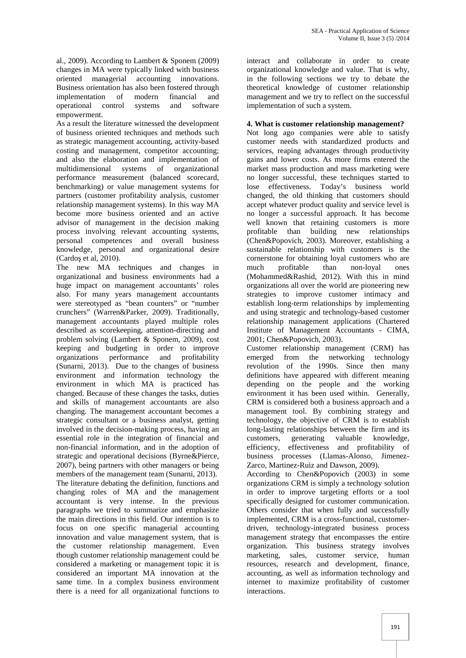al., 2009). According to Lambert & Sponem (2009) changes in MA were typically linked with business oriented managerial accounting innovations. Business orientation has also been fostered through implementation of modern financial and operational control systems and software empowerment.

As a result the literature witnessed the development of business oriented techniques and methods such as strategic management accounting, activity-based costing and management, competitor accounting; and also the elaboration and implementation of multidimensional systems of organizational performance measurement (balanced scorecard, benchmarking) or value management systems for partners (customer profitability analysis, customer relationship management systems). In this way MA become more business oriented and an active advisor of management in the decision making process involving relevant accounting systems, personal competences and overall business knowledge, personal and organizational desire (Cardo et al, 2010).

The new MA techniques and changes in much organizational and business environments had a huge impact on management accountants' roles also. For many years management accountants were stereotyped as "bean counters" or "number crunchers" (Warren&Parker, 2009). Traditionally, management accountants played multiple roles described as scorekeeping, attention-directing and problem solving (Lambert & Sponem, 2009), cost keeping and budgeting in order to improve organizations performance and profitability (Sunarni, 2013). Due to the changes of business environment and information technology the environment in which MA is practiced has changed. Because of these changes the tasks, duties and skills of management accountants are also changing. The management accountant becomes a strategic consultant or a business analyst, getting involved in the decision-making process, having an essential role in the integration of financial and non-financial information, and in the adoption of strategic and operational decisions (Byrne&Pierce, 2007), being partners with other managers or being members of the management team (Sunarni, 2013). The literature debating the definition, functions and changing roles of MA and the management accountant is very intense. In the previous paragraphs we tried to summarize and emphasize the main directions in this field. Our intention is to focus on one specific managerial accounting innovation and value management system, that is the customer relationship management. Even though customer relationship management could be considered a marketing or management topic it is considered an important MA innovation at the same time. In a complex business environment there is a need for all organizational functions to

interact and collaborate in order to create organizational knowledge and value. That is why, in the following sections we try to debate the theoretical knowledge of customer relationship management and we try to reflect on the successful implementation of such a system.

## **4. What is customer relationship management?**

Not long ago companies were able to satisfy customer needs with standardized products and services, reaping advantages through productivity gains and lower costs. As more firms entered the market mass production and mass marketing were no longer successful, these techniques started to lose effectiveness. Today's business world changed, the old thinking that customers should accept whatever product quality and service level is no longer a successful approach. It has become well known that retaining customers is more profitable than building new relationships (Chen&Popovich, 2003). Moreover, establishing a sustainable relationship with customers is the cornerstone for obtaining loyal customers who are profitable than non-loyal ones (Mohammed&Rashid, 2012). With this in mind organizations all over the world are pioneering new strategies to improve customer intimacy and establish long-term relationships by implementing and using strategic and technology-based customer relationship management applications (Chartered Institute of Management Accountants - CIMA, 2001; Chen&Popovich, 2003).

Customer relationship management (CRM) has emerged from the networking technology revolution of the 1990s. Since then many definitions have appeared with different meaning depending on the people and the working environment it has been used within. Generally, CRM is considered both a business approach and a management tool. By combining strategy and technology, the objective of CRM is to establish long-lasting relationships between the firm and its generating valuable knowledge, efficiency, effectiveness and profitability of business processes (Llamas-Alonso, Jimenez- Zarco, Martinez-Ruiz and Dawson, 2009).

According to Chen&Popovich (2003) in some organizations CRM is simply a technology solution in order to improve targeting efforts or a tool specifically designed for customer communication. Others consider that when fully and successfully implemented, CRM is a cross-functional, customer driven, technology-integrated business process management strategy that encompasses the entire organization. This business strategy involves marketing, sales, customer service, human resources, research and development, finance, accounting, as well as information technology and internet to maximize profitability of customer interactions.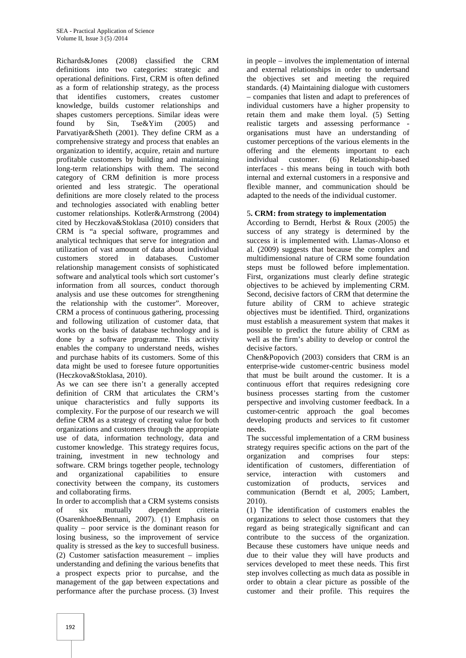Richards&Jones (2008) classified the CRM definitions into two categories: strategic and operational definitions. First, CRM is often defined as a form of relationship strategy, as the process that identifies customers, creates customer knowledge, builds customer relationships and shapes customers perceptions. Similar ideas were<br>found by Sin. Tse&Yim (2005) and  $Tse\&Yim$  (2005) and Parvatiyar&Sheth (2001). They define CRM as a comprehensive strategy and process that enables an organization to identify, acquire, retain and nurture profitable customers by building and maintaining long-term relationships with them. The second category of CRM definition is more process oriented and less strategic. The operational definitions are more closely related to the process and technologies associated with enabling better customer relationships. Kotler&Armstrong (2004) cited by Heczkova&Stoklasa (2010) considers that CRM is "a special software, programmes and analytical techniques that serve for integration and utilization of vast amount of data about individual customers stored in databases. Customer relationship management consists of sophisticated software and analytical tools which sort customer's information from all sources, conduct thorough analysis and use these outcomes for strengthening the relationship with the customer". Moreover, CRM a process of continuous gathering, processing and following utilization of customer data, that works on the basis of database technology and is done by a software programme. This activity enables the company to understand needs, wishes and purchase habits of its customers. Some of this data might be used to foresee future opportunities (Heczkova&Stoklasa, 2010).

As we can see there isn't a generally accepted definition of CRM that articulates the CRM's unique characteristics and fully supports its complexity. For the purpose of our research we will define CRM as a strategy of creating value for both organizations and customers through the appropiate use of data, information technology, data and customer knowledge. This strategy requires focus, training, investment in new technology and software. CRM brings together people, technology and organizational capabilities to ensure conectivity between the company, its customers and collaborating firms.

In order to accomplish that a CRM systems consists of six mutually dependent criteria (Osarenkhoe&Bennani, 2007). (1) Emphasis on quality – poor service is the dominant reason for losing business, so the improvement of service quality is stressed as the key to succesfull business. (2) Customer satisfaction measurement – implies understanding and defining the various benefits that a prospect expects prior to purcahse, and the management of the gap between expectations and performance after the purchase process. (3) Invest

in people – involves the implementation of internal and external relationships in order to undertsand the objectives set and meeting the required standards. (4) Maintaining dialogue with customers – companies that listen and adapt to preferences of individual customers have a higher propensity to retain them and make them loyal. (5) Setting realistic targets and assessing performance organisations must have an understanding of customer perceptions of the various elements in the offering and the elements important to each customer. (6) Relationship-based interfaces - this means being in touch with both internal and external customers in a responsive and flexible manner, and communication should be adapted to the needs of the individual customer.

## 5**. CRM: from strategy to implementation**

According to Berndt, Herbst & Roux (2005) the success of any strategy is determined by the success it is implemented with. Llamas-Alonso et al. (2009) suggests that because the complex and multidimensional nature of CRM some foundation steps must be followed before implementation. First, organizations must clearly define strategic objectives to be achieved by implementing CRM. Second, decisive factors of CRM that determine the future ability of CRM to achieve strategic objectives must be identified. Third, organizations must establish a measurement system that makes it possible to predict the future ability of CRM as well as the firm's ability to develop or control the decisive factors.

Chen&Popovich (2003) considers that CRM is an enterprise-wide customer-centric business model that must be built around the customer. It is a continuous effort that requires redesigning core business processes starting from the customer perspective and involving customer feedback. In a customer-centric approach the goal becomes developing products and services to fit customer needs.

The successful implementation of a CRM business strategy requires specific actions on the part of the organization and comprises four steps: identification of customers, differentiation of service, interaction with customers and<br>customization of products, services and customization of products, services and communication (Berndt et al, 2005; Lambert, 2010).

(1) The identification of customers enables the organizations to select those customers that they regard as being strategically significant and can contribute to the success of the organization. Because these customers have unique needs and due to their value they will have products and services developed to meet these needs. This first step involves collecting as much data as possible in order to obtain a clear picture as possible of the customer and their profile. This requires the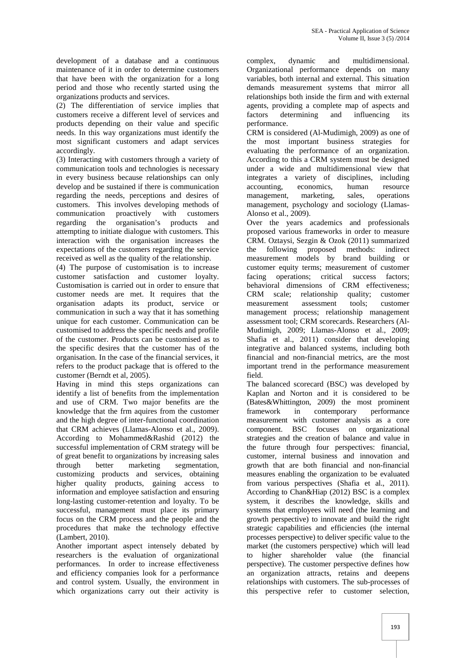development of a database and a continuous maintenance of it in order to determine customers that have been with the organization for a long period and those who recently started using the organizations products and services.

(2) The differentiation of service implies that customers receive a different level of services and products depending on their value and specific needs. In this way organizations must identify the most significant customers and adapt services accordingly.

(3) Interacting with customers through a variety of communication tools and technologies is necessary in every business because relationships can only develop and be sustained if there is communication regarding the needs, perceptions and desires of customers. This involves developing methods of communication proactively with customers regarding the organisation's products and attempting to initiate dialogue with customers. This interaction with the organisation increases the expectations of the customers regarding the service received as well as the quality of the relationship.

(4) The purpose of customisation is to increase customer satisfaction and customer loyalty. Customisation is carried out in order to ensure that customer needs are met. It requires that the organisation adapts its product, service or communication in such a way that it has something unique for each customer. Communication can be customised to address the specific needs and profile of the customer. Products can be customised as to the specific desires that the customer has of the organisation. In the case of the financial services, it refers to the product package that is offered to the customer (Berndt et al, 2005).

Having in mind this steps organizations can identify a list of benefits from the implementation and use of CRM. Two major benefits are the knowledge that the frm aquires from the customer and the high degree of inter-functional coordination that CRM achieves (Llamas-Alonso et al., 2009). According to Mohammed&Rashid (2012) the successful implementation of CRM strategy will be of great benefit to organizations by increasing sales through better marketing segmentation, customizing products and services, obtaining higher quality products, gaining access to information and employee satisfaction and ensuring long-lasting customer-retention and loyalty. To be successful, management must place its primary focus on the CRM process and the people and the procedures that make the technology effective (Lambert, 2010).

Another important aspect intensely debated by researchers is the evaluation of organizational performances. In order to increase effectiveness and efficiency companies look for a performance and control system. Usually, the environment in which organizations carry out their activity is

complex, dynamic and multidimensional. Organizational performance depends on many variables, both internal and external. This situation demands measurement systems that mirror all relationships both inside the firm and with external agents, providing a complete map of aspects and determining and influencing its performance.

CRM is considered (Al-Mudimigh, 2009) as one of the most important business strategies for evaluating the performance of an organization. According to this a CRM system must be designed under a wide and multidimensional view that integrates a variety of disciplines, including accounting, economics, human resource management, marketing, sales, operations management, psychology and sociology (Llamas- Alonso et al., 2009).

Over the years academics and professionals proposed various frameworks in order to measure CRM. Oztaysi, Sezgin & Ozok (2011) summarized the following proposed methods: indirect measurement models by brand building or customer equity terms; measurement of customer facing operations; critical success factors; behavioral dimensions of CRM effectiveness; CRM scale; relationship quality; customer measurement assessment tools; customer management process; relationship management assessment tool; CRM scorecards. Researchers (Al- Mudimigh, 2009; Llamas-Alonso et al., 2009; Shafia et al., 2011) consider that developing integrative and balanced systems, including both financial and non-financial metrics, are the most important trend in the performance measurement field.

The balanced scorecard (BSC) was developed by Kaplan and Norton and it is considered to be (Bates&Whittington, 2009) the most prominent framework in contemporary performance measurement with customer analysis as a core component. BSC focuses on organizational strategies and the creation of balance and value in the future through four perspectives: financial, customer, internal business and innovation and growth that are both financial and non-financial measures enabling the organization to be evaluated from various perspectives (Shafia et al., 2011). According to Chan&Hiap (2012) BSC is a complex system, it describes the knowledge, skills and systems that employees will need (the learning and growth perspective) to innovate and build the right strategic capabilities and efficiencies (the internal processes perspective) to deliver specific value to the market (the customers perspective) which will lead to higher shareholder value (the financial perspective). The customer perspective defines how an organization attracts, retains and deepens relationships with customers. The sub-processes of this perspective refer to customer selection,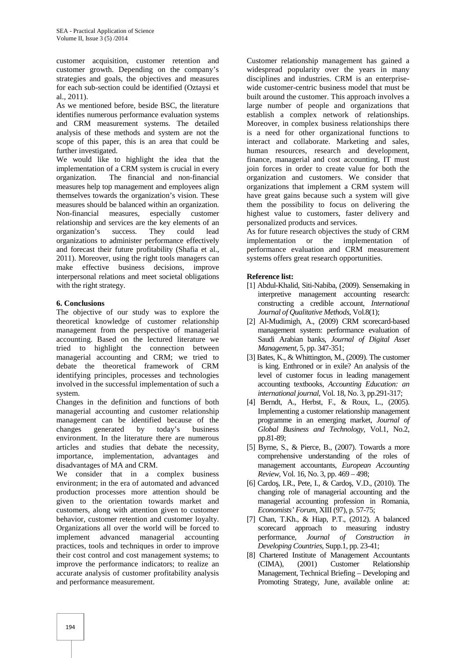customer acquisition, customer retention and customer growth. Depending on the company's strategies and goals, the objectives and measures for each sub-section could be identified (Oztaysi et al., 2011).

As we mentioned before, beside BSC, the literature identifies numerous performance evaluation systems and CRM measurement systems. The detailed analysis of these methods and system are not the scope of this paper, this is an area that could be further investigated.

We would like to highlight the idea that the implementation of a CRM system is crucial in every organization. The financial and non-financial measures help top management and employees align themselves towards the organization's vision. These measures should be balanced within an organization. Non-financial measures, especially customer relationship and services are the key elements of an organization's success. They could lead organizations to administer performance effectively and forecast their future profitability (Shafia et al., 2011). Moreover, using the right tools managers can make effective business decisions, improve interpersonal relations and meet societal obligations with the right strategy.

#### **6. Conclusions**

The objective of our study was to explore the theoretical knowledge of customer relationship management from the perspective of managerial accounting. Based on the lectured literature we tried to highlight the connection between managerial accounting and CRM; we tried to debate the theoretical framework of CRM identifying principles, processes and technologies involved in the successful implementation of such a system.

Changes in the definition and functions of both managerial accounting and customer relationship management can be identified because of the changes generated by today's business environment. In the literature there are numerous articles and studies that debate the necessity, importance, implementation, advantages and disadvantages of MA and CRM.

We consider that in a complex business environment; in the era of automated and advanced production processes more attention should be given to the orientation towards market and customers, along with attention given to customer behavior, customer retention and customer loyalty. Organizations all over the world will be forced to implement advanced managerial accounting practices, tools and techniques in order to improve their cost control and cost management systems; to improve the performance indicators; to realize an accurate analysis of customer profitability analysis and performance measurement.

Customer relationship management has gained a widespread popularity over the years in many disciplines and industries. CRM is an enterprise wide customer-centric business model that must be built around the customer. This approach involves a large number of people and organizations that establish a complex network of relationships. Moreover, in complex business relationships there is a need for other organizational functions to interact and collaborate. Marketing and sales, human resources, research and development, finance, managerial and cost accounting, IT must join forces in order to create value for both the organization and customers. We consider that organizations that implement a CRM system will have great gains because such a system will give them the possibility to focus on delivering the highest value to customers, faster delivery and personalized products and services.

As for future research objectives the study of CRM implementation or the implementation of performance evaluation and CRM measurement systems offers great research opportunities.

#### **Reference list:**

- [1] Abdul-Khalid, Siti-Nabiba, (2009). Sensemaking in interpretive management accounting research: constructing a credible account, *International Journal of Qualitative Methods*, Vol.8(1);
- [2] Al-Mudimigh, A., (2009) CRM scorecard-based management system: performance evaluation of Saudi Arabian banks, *Journal of Digital Asset Management*, 5, pp. 347-351;
- [3] Bates, K., & Whittington, M., (2009). The customer is king. Enthroned or in exile? An analysis of the level of customer focus in leading management accounting textbooks, *Accounting Education: an international journal*, Vol. 18, No. 3, pp.291-317;
- [4] Berndt, A., Herbst, F., & Roux, L., (2005). Implementing a customer relationship management programme in an emerging market, *Journal of Global Business and Technology*, Vol.1, No.2, pp.81-89;
- [5] Byrne, S., & Pierce, B., (2007). Towards a more comprehensive understanding of the roles of management accountants, *European Accounting Review*, Vol. 16, No. 3, pp. 469 – 498;
- [6] Cardo, I.R., Pete, I., & Cardo, V.D., (2010). The changing role of managerial accounting and the managerial accounting profession in Romania, *Economists' Forum*, XIII (97), p. 57-75;
- [7] Chan, T.Kh., & Hiap, P.T., (2012). A balanced scorecard approach to measuring industry performance, *Journal of Construction in Developing Countries*, Supp.1, pp. 23-41;
- [8] Chartered Institute of Management Accountants (CIMA), (2001) Customer Relationship Management, Technical Briefing – Developing and Promoting Strategy, June, available online at: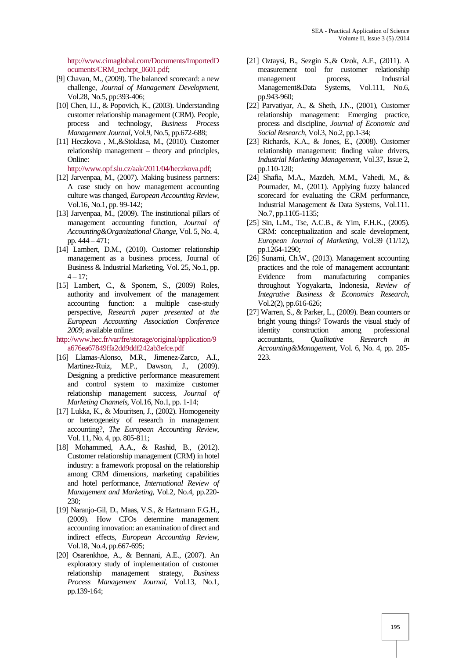http://www.cimaglobal.com/Documents/ImportedD ocuments/CRM\_techrpt\_0601.pdf;

- [9] Chavan, M., (2009). The balanced scorecard: a new challenge, *Journal of Management Development*, Vol.28, No.5, pp:393-406;
- [10] Chen, I.J., & Popovich, K., (2003). Understanding customer relationship management (CRM). People, process and technology, *Business Process Management Journal*, Vol.9, No.5, pp.672-688;
- [11] Heczkova , M.,&Stoklasa, M., (2010). Customer relationship management – theory and principles, Online:

http://www.opf.slu.cz/aak/2011/04/heczkova.pdf;

- [12] Jarvenpaa, M., (2007). Making business partners: A case study on how management accounting culture was changed, *European Accounting Review*, Vol.16, No.1, pp. 99-142;
- [13] Jarvenpaa, M., (2009). The institutional pillars of management accounting function, *Journal of Accounting&Organizational Change*, Vol. 5, No. 4, pp. 444 – 471;
- [14] Lambert, D.M., (2010). Customer relationship management as a business process, Journal of Business & Industrial Marketing, Vol. 25, No.1, pp.  $4 - 17$ ;
- [15] Lambert, C., & Sponem, S., (2009) Roles, authority and involvement of the management accounting function: a multiple case-study perspective, *Research paper presented at the European Accounting Association Conference 2009*; available online:
- http://www.hec.fr/var/fre/storage/original/application/9 a676ea67849ffa2dd9ddf242ab3efce.pdf
- [16] Llamas-Alonso, M.R., Jimenez-Zarco, A.I., Martinez-Ruiz, M.P., Dawson, J., (2009). Designing a predictive performance measurement and control system to maximize customer relationship management success, *Journal of Marketing Channels*, Vol.16, No.1, pp. 1-14;
- [17] Lukka, K., & Mouritsen, J., (2002). Homogeneity or heterogeneity of research in management accounting?, *The European Accounting Review*, Vol. 11, No. 4, pp. 805-811;
- [18] Mohammed, A.A., & Rashid, B., (2012). Customer relationship management (CRM) in hotel industry: a framework proposal on the relationship among CRM dimensions, marketing capabilities and hotel performance, *International Review of Management and Marketing*, Vol.2, No.4, pp.220- 230;
- [19] Naranjo-Gil, D., Maas, V.S., & Hartmann F.G.H., (2009). How CFOs determine management accounting innovation: an examination of direct and indirect effects, *European Accounting Review*, Vol.18, No.4, pp.667-695;
- [20] Osarenkhoe, A., & Bennani, A.E., (2007). An exploratory study of implementation of customer relationship management strategy, *Business Process Management Journal*, Vol.13, No.1, pp.139-164;
- [21] Oztaysi, B., Sezgin S.,& Ozok, A.F., (2011). A measurement tool for customer relationship management process, Industrial Management&Data Systems, Vol.111, No.6, pp.943-960;
- [22] Parvatiyar, A., & Sheth, J.N., (2001), Customer relationship management: Emerging practice, process and discipline, *Journal of Economic and Social Research*, Vol.3, No.2, pp.1-34;
- [23] Richards, K.A., & Jones, E., (2008). Customer relationship management: finding value drivers, *Industrial Marketing Management*, Vol.37, Issue 2, pp.110-120;
- [24] Shafia, M.A., Mazdeh, M.M., Vahedi, M., & Pournader, M., (2011). Applying fuzzy balanced scorecard for evaluating the CRM performance, Industrial Management & Data Systems, Vol.111. No.7, pp.1105-1135;
- [25] Sin, L.M., Tse, A.C.B., & Yim, F.H.K., (2005). CRM: conceptualization and scale development, *European Journal of Marketing*, Vol.39 (11/12), pp.1264-1290;
- [26] Sunarni, Ch.W., (2013). Management accounting practices and the role of management accountant: Evidence from manufacturing companies throughout Yogyakarta, Indonesia, *Review of Integrative Business & Economics Research*, Vol.2(2), pp.616-626;
- [27] Warren, S., & Parker, L., (2009). Bean counters or bright young things? Towards the visual study of identity construction among professional accountants, *Qualitative Research in Accounting&Management*, Vol. 6, No. 4, pp. 205- 223.